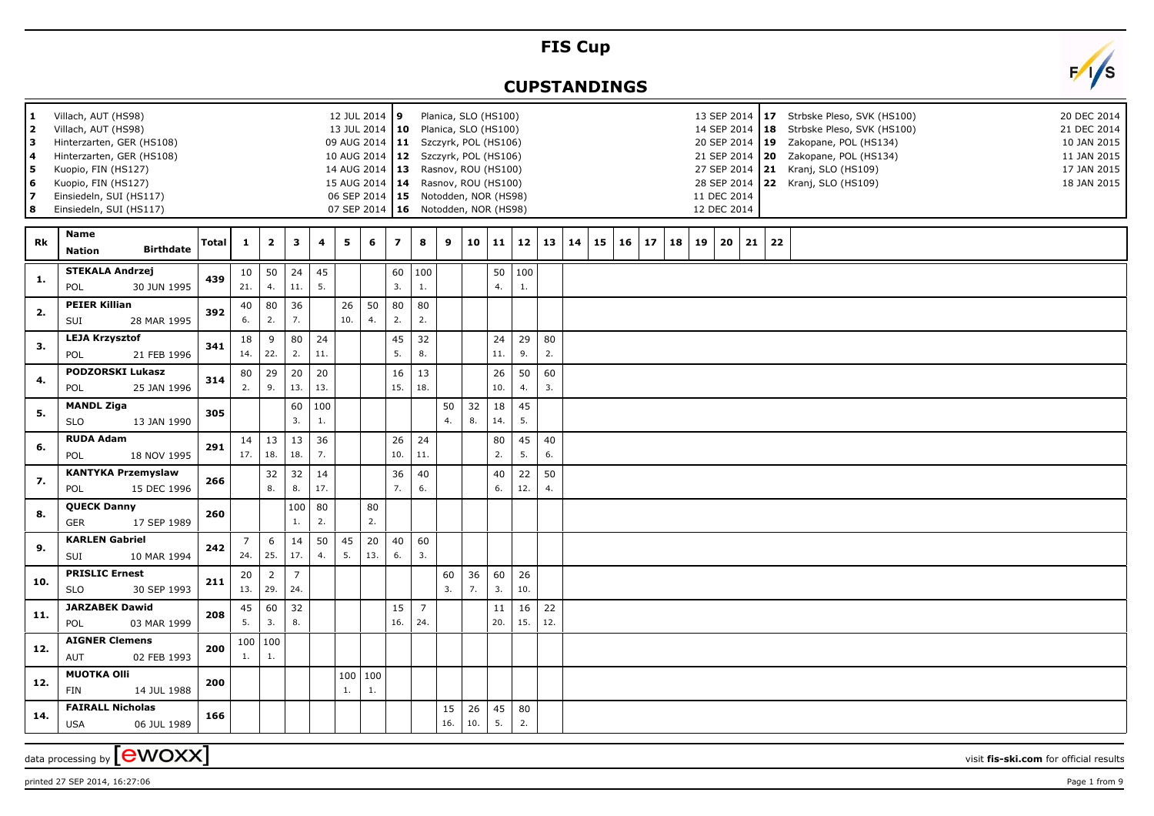## **FIS Cup**

## **CUPSTANDINGS**



| 1<br>2<br>3<br>4<br>5<br>6<br>17<br>8 | Villach, AUT (HS98)<br>Villach, AUT (HS98)<br>Hinterzarten, GER (HS108)<br>Hinterzarten, GER (HS108)<br>Kuopio, FIN (HS127)<br>Kuopio, FIN (HS127)<br>Einsiedeln, SUI (HS117)<br>Einsiedeln, SUI (HS117) |              |                       |                       |                       |                         |                | 12 JUL 2014 9   |                         | 13 JUL 2014   10 Planica, SLO (HS100)<br>09 AUG 2014   11 Szczyrk, POL (HS106)<br>10 AUG 2014   12 Szczyrk, POL (HS106)<br>14 AUG 2014   13 Rasnov, ROU (HS100)<br>15 AUG 2014   14 Rasnov, ROU (HS100)<br>06 SEP 2014   15 Notodden, NOR (HS98)<br>07 SEP 2014   16 Notodden, NOR (HS98) | Planica, SLO (HS100) |           |           |             |              |    |    |    |    |    |    | 14 SEP 2014   18<br>21 SEP 2014 20<br>27 SEP 2014<br>11 DEC 2014<br>12 DEC 2014 |    |    | 13 SEP 2014   17 Strbske Pleso, SVK (HS100)<br>20 DEC 2014<br>Strbske Pleso, SVK (HS100)<br>21 DEC 2014<br>20 SEP 2014   19 Zakopane, POL (HS134)<br>10 JAN 2015<br>Zakopane, POL (HS134)<br>11 JAN 2015<br>21 Kranj, SLO (HS109)<br>17 JAN 2015<br>18 JAN 2015<br>28 SEP 2014 22 Kranj, SLO (HS109) |  |
|---------------------------------------|----------------------------------------------------------------------------------------------------------------------------------------------------------------------------------------------------------|--------------|-----------------------|-----------------------|-----------------------|-------------------------|----------------|-----------------|-------------------------|-------------------------------------------------------------------------------------------------------------------------------------------------------------------------------------------------------------------------------------------------------------------------------------------|----------------------|-----------|-----------|-------------|--------------|----|----|----|----|----|----|---------------------------------------------------------------------------------|----|----|------------------------------------------------------------------------------------------------------------------------------------------------------------------------------------------------------------------------------------------------------------------------------------------------------|--|
| Rk                                    | <b>Name</b><br><b>Birthdate</b><br><b>Nation</b>                                                                                                                                                         | <b>Total</b> | $\mathbf{1}$          | $\overline{2}$        | 3                     | $\overline{\mathbf{4}}$ | $5\phantom{a}$ | 6               | $\overline{\mathbf{z}}$ | 8                                                                                                                                                                                                                                                                                         | $\mathbf{9}$         | 10        | 11        |             | $12 \mid 13$ | 14 | 15 | 16 | 17 | 18 | 19 | 20                                                                              | 21 | 22 |                                                                                                                                                                                                                                                                                                      |  |
| 1.                                    | <b>STEKALA Andrzej</b><br>POL<br>30 JUN 1995                                                                                                                                                             | 439          | 10<br>21.             | 50<br>4.              | 24<br>11.             | 45<br>5.                |                |                 | 60<br>3.                | 100<br>1.                                                                                                                                                                                                                                                                                 |                      |           | 50<br>4.  | 100<br>$1.$ |              |    |    |    |    |    |    |                                                                                 |    |    |                                                                                                                                                                                                                                                                                                      |  |
| 2.                                    | <b>PEIER Killian</b><br>SUI<br>28 MAR 1995                                                                                                                                                               | 392          | 40<br>6.              | 80<br>2.              | 36<br>7.              |                         | 26<br>10.      | 50<br>4.        | 80<br>2.                | 80<br>2.                                                                                                                                                                                                                                                                                  |                      |           |           |             |              |    |    |    |    |    |    |                                                                                 |    |    |                                                                                                                                                                                                                                                                                                      |  |
| 3.                                    | <b>LEJA Krzysztof</b><br>POL<br>21 FEB 1996                                                                                                                                                              | 341          | 18<br>14.             | 9<br>22.              | 80<br>2.              | 24<br>11.               |                |                 | 45<br>5.                | 32<br>8.                                                                                                                                                                                                                                                                                  |                      |           | 24<br>11. | 29<br>9.    | 80<br>2.     |    |    |    |    |    |    |                                                                                 |    |    |                                                                                                                                                                                                                                                                                                      |  |
| 4.                                    | <b>PODZORSKI Lukasz</b><br>POL<br>25 JAN 1996                                                                                                                                                            | 314          | 80<br>2.              | 29<br>9.              | 20<br>13.             | 20<br>13.               |                |                 | 16<br>15.               | 13<br>18.                                                                                                                                                                                                                                                                                 |                      |           | 26<br>10. | 50<br>4.    | 60<br>3.     |    |    |    |    |    |    |                                                                                 |    |    |                                                                                                                                                                                                                                                                                                      |  |
| 5.                                    | <b>MANDL Ziga</b><br><b>SLO</b><br>13 JAN 1990                                                                                                                                                           | 305          |                       |                       | 60<br>3.              | 100<br>1.               |                |                 |                         |                                                                                                                                                                                                                                                                                           | 50<br>4.             | 32<br>8.  | 18<br>14. | 45<br>5.    |              |    |    |    |    |    |    |                                                                                 |    |    |                                                                                                                                                                                                                                                                                                      |  |
| 6.                                    | <b>RUDA Adam</b><br>POL<br>18 NOV 1995                                                                                                                                                                   | 291          | 14<br>17.             | 13<br>18.             | 13<br>18.             | 36<br>7.                |                |                 | 26<br>10.               | 24<br>11.                                                                                                                                                                                                                                                                                 |                      |           | 80<br>2.  | 45<br>5.    | 40<br>6.     |    |    |    |    |    |    |                                                                                 |    |    |                                                                                                                                                                                                                                                                                                      |  |
| 7.                                    | <b>KANTYKA Przemyslaw</b><br>POL<br>15 DEC 1996                                                                                                                                                          | 266          |                       | 32<br>8.              | 32<br>8.              | 14<br>17.               |                |                 | 36<br>7.                | 40<br>6.                                                                                                                                                                                                                                                                                  |                      |           | 40<br>6.  | 22<br>12.   | 50<br>4.     |    |    |    |    |    |    |                                                                                 |    |    |                                                                                                                                                                                                                                                                                                      |  |
| 8.                                    | <b>QUECK Danny</b><br>17 SEP 1989<br><b>GER</b>                                                                                                                                                          | 260          |                       |                       | 100<br>1.             | 80<br>2.                |                | 80<br>2.        |                         |                                                                                                                                                                                                                                                                                           |                      |           |           |             |              |    |    |    |    |    |    |                                                                                 |    |    |                                                                                                                                                                                                                                                                                                      |  |
| 9.                                    | <b>KARLEN Gabriel</b><br>SUI<br>10 MAR 1994                                                                                                                                                              | 242          | $\overline{7}$<br>24. | 6<br>25.              | 14<br>17.             | 50<br>4.                | 45<br>5.       | 20<br>13.       | 40<br>6.                | 60<br>3.                                                                                                                                                                                                                                                                                  |                      |           |           |             |              |    |    |    |    |    |    |                                                                                 |    |    |                                                                                                                                                                                                                                                                                                      |  |
| 10.                                   | <b>PRISLIC Ernest</b><br><b>SLO</b><br>30 SEP 1993                                                                                                                                                       | 211          | 20<br>13.             | $\overline{2}$<br>29. | $\overline{7}$<br>24. |                         |                |                 |                         |                                                                                                                                                                                                                                                                                           | 60<br>3.             | 36<br>7.  | 60<br>3.  | 26<br>10.   |              |    |    |    |    |    |    |                                                                                 |    |    |                                                                                                                                                                                                                                                                                                      |  |
| 11.                                   | <b>JARZABEK Dawid</b><br>POL<br>03 MAR 1999                                                                                                                                                              | 208          | 45<br>5.              | 60<br>3.              | 32<br>8.              |                         |                |                 | 15<br>16.               | $\overline{7}$<br>24.                                                                                                                                                                                                                                                                     |                      |           | 11<br>20. | 16<br>15.   | 22<br>12.    |    |    |    |    |    |    |                                                                                 |    |    |                                                                                                                                                                                                                                                                                                      |  |
| 12.                                   | <b>AIGNER Clemens</b><br>AUT<br>02 FEB 1993                                                                                                                                                              | 200          | 100<br>1.             | 100<br>1.             |                       |                         |                |                 |                         |                                                                                                                                                                                                                                                                                           |                      |           |           |             |              |    |    |    |    |    |    |                                                                                 |    |    |                                                                                                                                                                                                                                                                                                      |  |
| 12.                                   | <b>MUOTKA Olli</b><br><b>FIN</b><br>14 JUL 1988                                                                                                                                                          | 200          |                       |                       |                       |                         | 1.             | 100   100<br>1. |                         |                                                                                                                                                                                                                                                                                           |                      |           |           |             |              |    |    |    |    |    |    |                                                                                 |    |    |                                                                                                                                                                                                                                                                                                      |  |
| 14.                                   | <b>FAIRALL Nicholas</b><br><b>USA</b><br>06 JUL 1989                                                                                                                                                     | 166          |                       |                       |                       |                         |                |                 |                         |                                                                                                                                                                                                                                                                                           | 15<br>16.            | 26<br>10. | 45<br>5.  | 80<br>2.    |              |    |    |    |    |    |    |                                                                                 |    |    |                                                                                                                                                                                                                                                                                                      |  |
|                                       | data processing by $\left[$ <b>CWOXX</b>                                                                                                                                                                 |              |                       |                       |                       |                         |                |                 |                         |                                                                                                                                                                                                                                                                                           |                      |           |           |             |              |    |    |    |    |    |    |                                                                                 |    |    | visit fis-ski.com for official results                                                                                                                                                                                                                                                               |  |

printed 27 SEP 2014, 16:27:06 Page 1 from 9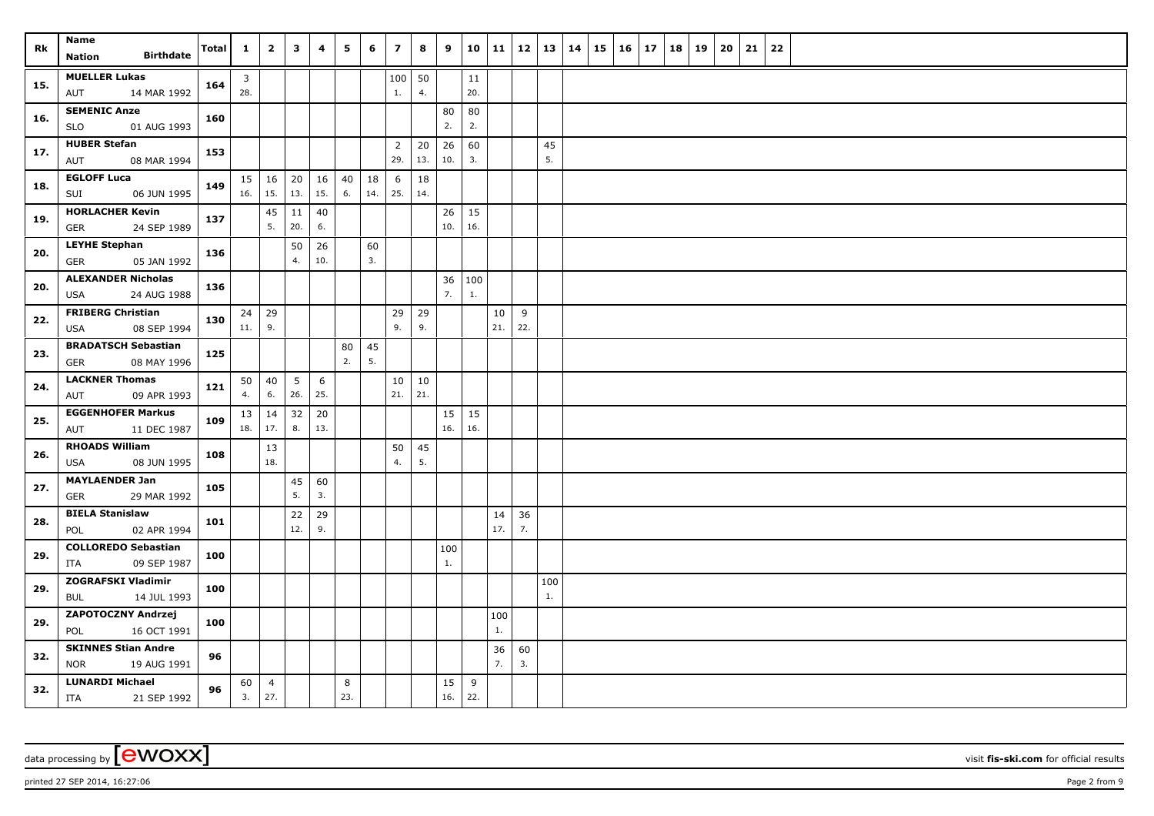| Rk  | Name<br><b>Birthdate</b><br>Nation                      | <b>Total</b> | $\mathbf{1}$          | $\overline{2}$        | $\mathbf{3}$           | $\overline{\mathbf{4}}$ | 5                      | 6         | $\overline{7}$        | 8         | 9            | 10             | 11        | 12       | 13   14   | 15 | 16 | 17 | 18 | 19 | 20 | 21 | 22 |
|-----|---------------------------------------------------------|--------------|-----------------------|-----------------------|------------------------|-------------------------|------------------------|-----------|-----------------------|-----------|--------------|----------------|-----------|----------|-----------|----|----|----|----|----|----|----|----|
| 15. | <b>MUELLER Lukas</b><br>14 MAR 1992<br>AUT              | 164          | $\overline{3}$<br>28. |                       |                        |                         |                        |           | 100<br>1.             | 50<br>4.  |              | 11<br>20.      |           |          |           |    |    |    |    |    |    |    |    |
| 16. | <b>SEMENIC Anze</b><br>01 AUG 1993<br><b>SLO</b>        | 160          |                       |                       |                        |                         |                        |           |                       |           | 80<br>2.     | 80<br>2.       |           |          |           |    |    |    |    |    |    |    |    |
| 17. | <b>HUBER Stefan</b><br>AUT<br>08 MAR 1994               | 153          |                       |                       |                        |                         |                        |           | $\overline{2}$<br>29. | 20<br>13. | 26<br>10.    | 60<br>3.       |           |          | 45<br>5.  |    |    |    |    |    |    |    |    |
| 18. | <b>EGLOFF Luca</b><br>SUI<br>06 JUN 1995                | 149          | 15<br>16.             | 16<br>15.             | 20<br>13.              | 16<br>15.               | 40<br>6.               | 18<br>14. | 6<br>25.              | 18<br>14. |              |                |           |          |           |    |    |    |    |    |    |    |    |
| 19. | <b>HORLACHER Kevin</b><br>24 SEP 1989<br><b>GER</b>     | 137          |                       | 45<br>5.              | 11<br>20.              | 40<br>6.                |                        |           |                       |           | 26<br>10.    | 15<br>16.      |           |          |           |    |    |    |    |    |    |    |    |
| 20. | <b>LEYHE Stephan</b><br>05 JAN 1992<br>GER              | 136          |                       |                       | 50<br>4.               | 26<br>10.               |                        | 60<br>3.  |                       |           |              |                |           |          |           |    |    |    |    |    |    |    |    |
| 20. | <b>ALEXANDER Nicholas</b><br>24 AUG 1988<br>USA         | 136          |                       |                       |                        |                         |                        |           |                       |           | 36 100<br>7. | $\mathbf{1}$ . |           |          |           |    |    |    |    |    |    |    |    |
| 22. | <b>FRIBERG Christian</b><br><b>USA</b><br>08 SEP 1994   | 130          | 24<br>11.             | $ 29\rangle$<br>9.    |                        |                         |                        |           | 29<br>9.              | 29<br>9.  |              |                | 10<br>21. | 9<br>22. |           |    |    |    |    |    |    |    |    |
| 23. | <b>BRADATSCH Sebastian</b><br><b>GER</b><br>08 MAY 1996 | 125          |                       |                       |                        |                         | 80<br>$\overline{2}$ . | 45<br>5.  |                       |           |              |                |           |          |           |    |    |    |    |    |    |    |    |
| 24. | <b>LACKNER Thomas</b><br>09 APR 1993<br>AUT             | 121          | 50<br>4.              | 40<br>6.              | $5\overline{5}$<br>26. | 6<br>25.                |                        |           | 10<br>21.             | 10<br>21. |              |                |           |          |           |    |    |    |    |    |    |    |    |
| 25. | <b>EGGENHOFER Markus</b><br>AUT<br>11 DEC 1987          | 109          | 13<br>18.             | 14<br>17.             | 32<br>8.               | 20<br>13.               |                        |           |                       |           | 15<br>16.    | 15<br>16.      |           |          |           |    |    |    |    |    |    |    |    |
| 26. | <b>RHOADS William</b><br>08 JUN 1995<br><b>USA</b>      | 108          |                       | 13<br>18.             |                        |                         |                        |           | 50<br>4.              | 45<br>5.  |              |                |           |          |           |    |    |    |    |    |    |    |    |
| 27. | <b>MAYLAENDER Jan</b><br>29 MAR 1992<br><b>GER</b>      | 105          |                       |                       | 45<br>5.               | 60<br>3.                |                        |           |                       |           |              |                |           |          |           |    |    |    |    |    |    |    |    |
| 28. | <b>BIELA Stanislaw</b><br>02 APR 1994<br>POL            | 101          |                       |                       | 22<br>12.              | 29<br>9.                |                        |           |                       |           |              |                | 14<br>17. | 36<br>7. |           |    |    |    |    |    |    |    |    |
| 29. | <b>COLLOREDO Sebastian</b><br>09 SEP 1987<br>ITA        | 100          |                       |                       |                        |                         |                        |           |                       |           | 100<br>1.    |                |           |          |           |    |    |    |    |    |    |    |    |
| 29. | <b>ZOGRAFSKI Vladimir</b><br>14 JUL 1993<br><b>BUL</b>  | 100          |                       |                       |                        |                         |                        |           |                       |           |              |                |           |          | 100<br>1. |    |    |    |    |    |    |    |    |
| 29. | ZAPOTOCZNY Andrzej<br>POL<br>16 OCT 1991                | 100          |                       |                       |                        |                         |                        |           |                       |           |              |                | 100<br>1. |          |           |    |    |    |    |    |    |    |    |
| 32. | <b>SKINNES Stian Andre</b><br><b>NOR</b><br>19 AUG 1991 | 96           |                       |                       |                        |                         |                        |           |                       |           |              |                | 36<br>7.  | 60<br>3. |           |    |    |    |    |    |    |    |    |
| 32. | <b>LUNARDI Michael</b><br>ITA<br>21 SEP 1992            | 96           | 60<br>3.              | $\overline{4}$<br>27. |                        |                         | 8<br>23.               |           |                       |           | 15<br>16.    | 9<br>22.       |           |          |           |    |    |    |    |    |    |    |    |

printed 27 SEP 2014, 16:27:06 Page 2 from 9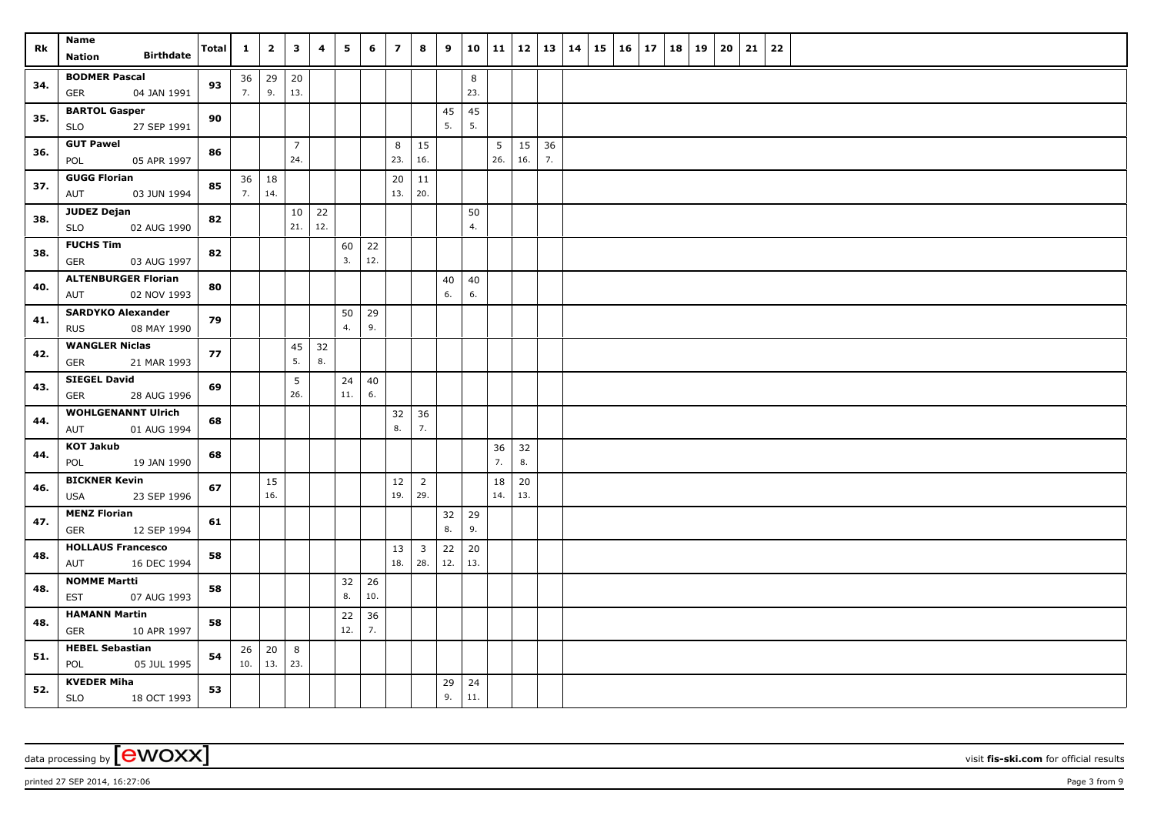| Rk  | Name<br><b>Birthdate</b><br>Nation                    | Total | $\mathbf{1}$ | $\overline{\mathbf{2}}$ | $\overline{\mathbf{3}}$ | 4         | 5         | 6         | $\overline{z}$ | 8                              | 9         | 10             | 11                    | $12$   13   14      |    | 15 | $16 \mid 17$ | 18 19 | 20 | 21 | 22 |
|-----|-------------------------------------------------------|-------|--------------|-------------------------|-------------------------|-----------|-----------|-----------|----------------|--------------------------------|-----------|----------------|-----------------------|---------------------|----|----|--------------|-------|----|----|----|
| 34. | <b>BODMER Pascal</b><br>04 JAN 1991<br>GER            | 93    | 36<br>7.     | 29 $ $<br>9.            | 20<br>13.               |           |           |           |                |                                |           | $\bf 8$<br>23. |                       |                     |    |    |              |       |    |    |    |
| 35. | <b>BARTOL Gasper</b><br>27 SEP 1991<br>SLO            | 90    |              |                         |                         |           |           |           |                |                                | 45<br>5.  | 45<br>5.       |                       |                     |    |    |              |       |    |    |    |
| 36. | <b>GUT Pawel</b><br>POL<br>05 APR 1997                | 86    |              |                         | $\overline{7}$<br>24.   |           |           |           | 8<br>23.       | 15<br>16.                      |           |                | 5 <sup>5</sup><br>26. | $15 \mid 36$<br>16. | 7. |    |              |       |    |    |    |
| 37. | <b>GUGG Florian</b><br>AUT<br>03 JUN 1994             | 85    | 36<br>7.     | 18<br>14.               |                         |           |           |           | 20<br>13.      | 11<br>20.                      |           |                |                       |                     |    |    |              |       |    |    |    |
| 38. | <b>JUDEZ Dejan</b><br>02 AUG 1990<br><b>SLO</b>       | 82    |              |                         | 10<br>21.               | 22<br>12. |           |           |                |                                |           | 50<br>4.       |                       |                     |    |    |              |       |    |    |    |
| 38. | <b>FUCHS Tim</b><br>03 AUG 1997<br><b>GER</b>         | 82    |              |                         |                         |           | 60<br>3.  | 22<br>12. |                |                                |           |                |                       |                     |    |    |              |       |    |    |    |
| 40. | <b>ALTENBURGER Florian</b><br>02 NOV 1993<br>AUT      | 80    |              |                         |                         |           |           |           |                |                                | 40<br>6.  | 40<br>6.       |                       |                     |    |    |              |       |    |    |    |
| 41. | <b>SARDYKO Alexander</b><br><b>RUS</b><br>08 MAY 1990 | 79    |              |                         |                         |           | 50<br>4.  | 29<br>9.  |                |                                |           |                |                       |                     |    |    |              |       |    |    |    |
| 42. | <b>WANGLER Niclas</b><br><b>GER</b><br>21 MAR 1993    | 77    |              |                         | 45<br>5.                | 32<br>8.  |           |           |                |                                |           |                |                       |                     |    |    |              |       |    |    |    |
| 43. | <b>SIEGEL David</b><br>28 AUG 1996<br>GER             | 69    |              |                         | 5<br>26.                |           | 24<br>11. | 40<br>6.  |                |                                |           |                |                       |                     |    |    |              |       |    |    |    |
| 44. | <b>WOHLGENANNT Ulrich</b><br>01 AUG 1994<br>AUT       | 68    |              |                         |                         |           |           |           | 32<br>8.       | 36<br>7.                       |           |                |                       |                     |    |    |              |       |    |    |    |
| 44. | <b>KOT Jakub</b><br>19 JAN 1990<br>POL                | 68    |              |                         |                         |           |           |           |                |                                |           |                | 36<br>7.              | 32<br>8.            |    |    |              |       |    |    |    |
| 46. | <b>BICKNER Kevin</b><br>23 SEP 1996<br>USA            | 67    |              | 15<br>16.               |                         |           |           |           | 12<br>19.      | $\overline{2}$<br>29.          |           |                | 18<br>14.             | 20<br>13.           |    |    |              |       |    |    |    |
| 47. | <b>MENZ Florian</b><br><b>GER</b><br>12 SEP 1994      | 61    |              |                         |                         |           |           |           |                |                                | 32<br>8.  | 29<br>9.       |                       |                     |    |    |              |       |    |    |    |
| 48. | <b>HOLLAUS Francesco</b><br>AUT<br>16 DEC 1994        | 58    |              |                         |                         |           |           |           | 13<br>18.      | $\overline{\mathbf{3}}$<br>28. | 22<br>12. | 20<br>13.      |                       |                     |    |    |              |       |    |    |    |
| 48. | <b>NOMME Martti</b><br><b>EST</b><br>07 AUG 1993      | 58    |              |                         |                         |           | 32<br>8.  | 26<br>10. |                |                                |           |                |                       |                     |    |    |              |       |    |    |    |
| 48. | <b>HAMANN Martin</b><br>GER<br>10 APR 1997            | 58    |              |                         |                         |           | 22<br>12. | 36<br>7.  |                |                                |           |                |                       |                     |    |    |              |       |    |    |    |
| 51. | <b>HEBEL Sebastian</b><br>POL<br>05 JUL 1995          | 54    | 26<br>10.    | 20<br>13.               | 8<br>23.                |           |           |           |                |                                |           |                |                       |                     |    |    |              |       |    |    |    |
| 52. | <b>KVEDER Miha</b><br>SLO<br>18 OCT 1993              | 53    |              |                         |                         |           |           |           |                |                                | 29<br>9.  | 24<br>11.      |                       |                     |    |    |              |       |    |    |    |

printed 27 SEP 2014, 16:27:06 Page 3 from 9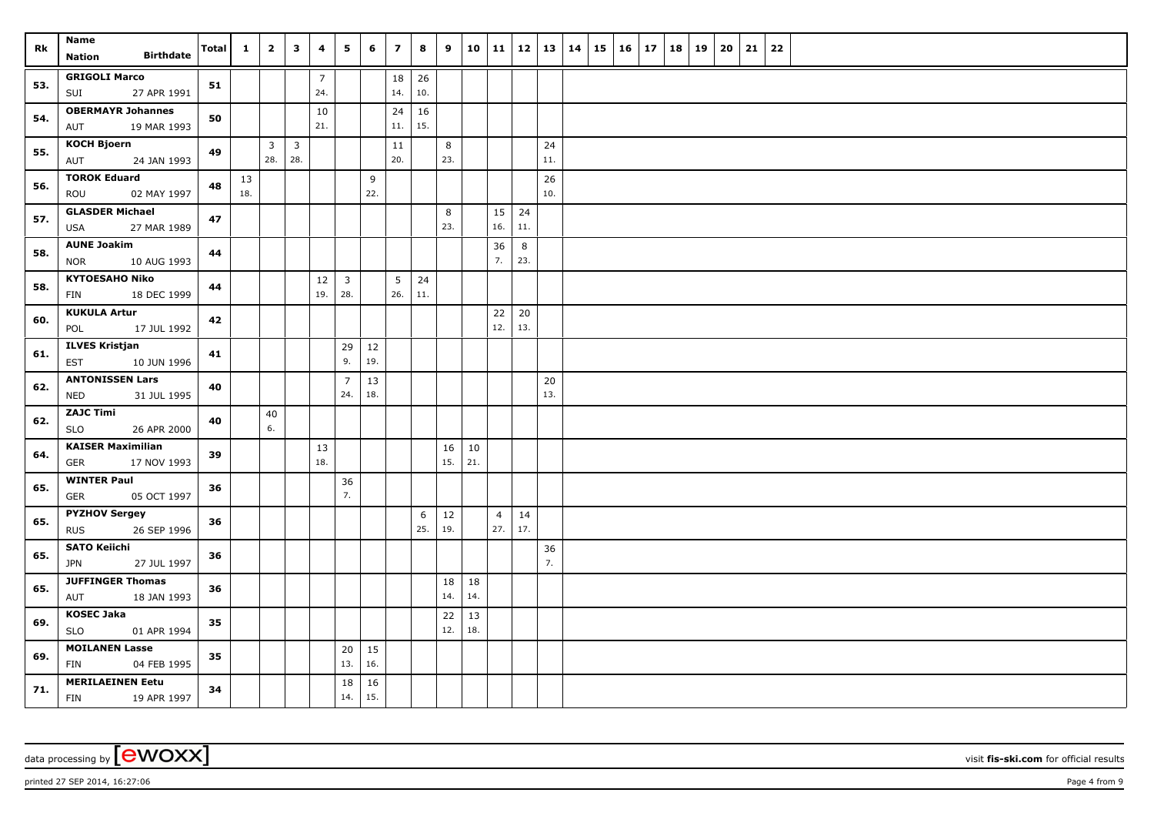| Rk  | Name<br><b>Birthdate</b><br><b>Nation</b>             | Total | $\mathbf{1}$ | $\overline{2}$      | $\mathbf{3}$                   | 4                     | $5^{\circ}$                    | 6             | $\overline{7}$        | 8         | 9         |           | 10   11   12   13   14 |           |           | $15 \mid 16 \mid 17$ |  | 18 19 | 20 | 21 | 22 |
|-----|-------------------------------------------------------|-------|--------------|---------------------|--------------------------------|-----------------------|--------------------------------|---------------|-----------------------|-----------|-----------|-----------|------------------------|-----------|-----------|----------------------|--|-------|----|----|----|
| 53. | <b>GRIGOLI Marco</b><br>SUI<br>27 APR 1991            | 51    |              |                     |                                | $\overline{7}$<br>24. |                                |               | 18<br>14.             | 26<br>10. |           |           |                        |           |           |                      |  |       |    |    |    |
| 54. | <b>OBERMAYR Johannes</b><br>19 MAR 1993<br>AUT        | 50    |              |                     |                                | 10<br>21.             |                                |               | 24<br>11.             | 16<br>15. |           |           |                        |           |           |                      |  |       |    |    |    |
| 55. | <b>KOCH Bjoern</b><br><b>AUT</b><br>24 JAN 1993       | 49    |              | $\mathbf{3}$<br>28. | $\overline{\mathbf{3}}$<br>28. |                       |                                |               | 11<br>20.             |           | 8<br>23.  |           |                        |           | 24<br>11. |                      |  |       |    |    |    |
| 56. | <b>TOROK Eduard</b><br>02 MAY 1997<br>ROU             | 48    | 13<br>18.    |                     |                                |                       |                                | 9<br>22.      |                       |           |           |           |                        |           | 26<br>10. |                      |  |       |    |    |    |
| 57. | <b>GLASDER Michael</b><br>27 MAR 1989<br><b>USA</b>   | 47    |              |                     |                                |                       |                                |               |                       |           | 8<br>23.  |           | 15<br>16.              | 24<br>11. |           |                      |  |       |    |    |    |
| 58. | <b>AUNE Joakim</b><br><b>NOR</b><br>10 AUG 1993       | 44    |              |                     |                                |                       |                                |               |                       |           |           |           | 36<br>7.               | 8<br>23.  |           |                      |  |       |    |    |    |
| 58. | <b>KYTOESAHO Niko</b><br>18 DEC 1999<br>FIN           | 44    |              |                     |                                | 12<br>19.             | $\overline{\mathbf{3}}$<br>28. |               | 5 <sup>5</sup><br>26. | 24<br>11. |           |           |                        |           |           |                      |  |       |    |    |    |
| 60. | <b>KUKULA Artur</b><br>POL<br>17 JUL 1992             | 42    |              |                     |                                |                       |                                |               |                       |           |           |           | 22<br>12.              | 20<br>13. |           |                      |  |       |    |    |    |
| 61. | <b>ILVES Kristjan</b><br><b>EST</b><br>10 JUN 1996    | 41    |              |                     |                                |                       | 29<br>9.                       | $12\,$<br>19. |                       |           |           |           |                        |           |           |                      |  |       |    |    |    |
| 62. | <b>ANTONISSEN Lars</b><br><b>NED</b><br>31 JUL 1995   | 40    |              |                     |                                |                       | $\overline{7}$<br>24.          | 13<br>18.     |                       |           |           |           |                        |           | 20<br>13. |                      |  |       |    |    |    |
| 62. | <b>ZAJC Timi</b><br>SLO<br>26 APR 2000                | 40    |              | 40<br>6.            |                                |                       |                                |               |                       |           |           |           |                        |           |           |                      |  |       |    |    |    |
| 64. | <b>KAISER Maximilian</b><br><b>GER</b><br>17 NOV 1993 | 39    |              |                     |                                | 13<br>18.             |                                |               |                       |           | 16<br>15. | 10<br>21. |                        |           |           |                      |  |       |    |    |    |
| 65. | <b>WINTER Paul</b><br>05 OCT 1997<br><b>GER</b>       | 36    |              |                     |                                |                       | 36<br>7.                       |               |                       |           |           |           |                        |           |           |                      |  |       |    |    |    |
| 65. | <b>PYZHOV Sergey</b><br>26 SEP 1996<br><b>RUS</b>     | 36    |              |                     |                                |                       |                                |               |                       | 6<br>25.  | 12<br>19. |           | $\overline{4}$<br>27.  | 14<br>17. |           |                      |  |       |    |    |    |
| 65. | <b>SATO Keiichi</b><br><b>JPN</b><br>27 JUL 1997      | 36    |              |                     |                                |                       |                                |               |                       |           |           |           |                        |           | 36<br>7.  |                      |  |       |    |    |    |
| 65. | <b>JUFFINGER Thomas</b><br>AUT<br>18 JAN 1993         | 36    |              |                     |                                |                       |                                |               |                       |           | 18<br>14. | 18<br>14. |                        |           |           |                      |  |       |    |    |    |
| 69. | <b>KOSEC Jaka</b><br><b>SLO</b><br>01 APR 1994        | 35    |              |                     |                                |                       |                                |               |                       |           | 22<br>12. | 13<br>18. |                        |           |           |                      |  |       |    |    |    |
| 69. | <b>MOILANEN Lasse</b><br>FIN<br>04 FEB 1995           | 35    |              |                     |                                |                       | 20<br>13.                      | 15<br>16.     |                       |           |           |           |                        |           |           |                      |  |       |    |    |    |
| 71. | <b>MERILAEINEN Eetu</b><br>FIN<br>19 APR 1997         | 34    |              |                     |                                |                       | 18<br>14.                      | 16<br>15.     |                       |           |           |           |                        |           |           |                      |  |       |    |    |    |

printed 27 SEP 2014, 16:27:06 Page 4 from 9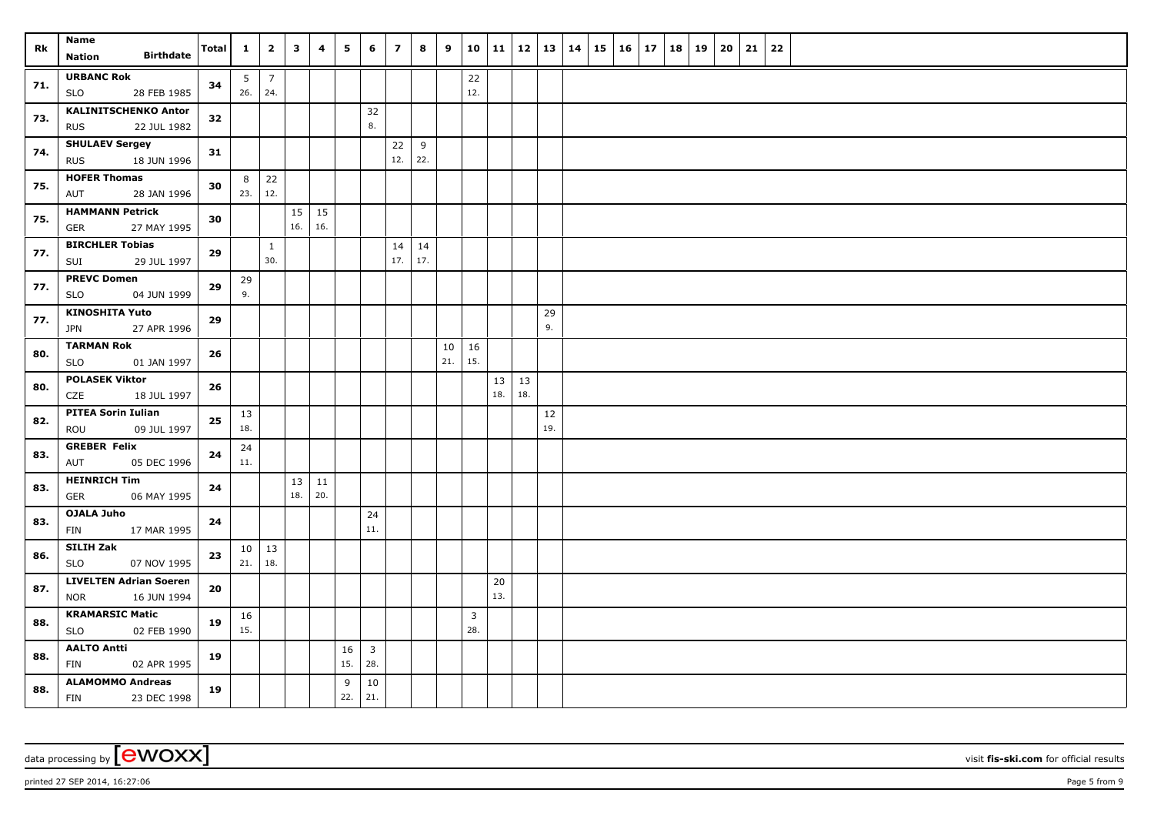| <b>Rk</b> | Name                                         | Total | $\mathbf{1}$   | $\overline{\mathbf{2}}$ | $\overline{\mathbf{3}}$ | 4            | 5         | 6                              | $\overline{z}$ | 8         | $9^{\circ}$ | 10           |                     |     |     | 11   12   13   14 | $15 \mid 16 \mid 17$ |  | 18 19 | $20 \mid 21$ | 22 |  |
|-----------|----------------------------------------------|-------|----------------|-------------------------|-------------------------|--------------|-----------|--------------------------------|----------------|-----------|-------------|--------------|---------------------|-----|-----|-------------------|----------------------|--|-------|--------------|----|--|
|           | <b>Birthdate</b><br><b>Nation</b>            |       |                |                         |                         |              |           |                                |                |           |             |              |                     |     |     |                   |                      |  |       |              |    |  |
| 71.       | <b>URBANC Rok</b>                            | 34    | 5 <sub>5</sub> | $\overline{7}$          |                         |              |           |                                |                |           |             | 22           |                     |     |     |                   |                      |  |       |              |    |  |
|           | SLO<br>28 FEB 1985                           |       | 26.            | 24.                     |                         |              |           |                                |                |           |             | 12.          |                     |     |     |                   |                      |  |       |              |    |  |
| 73.       | <b>KALINITSCHENKO Anton</b><br>22 JUL 1982   | 32    |                |                         |                         |              |           | 32<br>8.                       |                |           |             |              |                     |     |     |                   |                      |  |       |              |    |  |
|           | <b>RUS</b><br><b>SHULAEV Sergey</b>          |       |                |                         |                         |              |           |                                |                |           |             |              |                     |     |     |                   |                      |  |       |              |    |  |
| 74.       | <b>RUS</b><br>18 JUN 1996                    | 31    |                |                         |                         |              |           |                                | 22<br>12.      | 9<br>22.  |             |              |                     |     |     |                   |                      |  |       |              |    |  |
|           | <b>HOFER Thomas</b>                          |       | 8              | 22                      |                         |              |           |                                |                |           |             |              |                     |     |     |                   |                      |  |       |              |    |  |
| 75.       | AUT<br>28 JAN 1996                           | 30    | 23.            | 12.                     |                         |              |           |                                |                |           |             |              |                     |     |     |                   |                      |  |       |              |    |  |
| 75.       | <b>HAMMANN Petrick</b>                       | 30    |                |                         |                         | $15 \mid 15$ |           |                                |                |           |             |              |                     |     |     |                   |                      |  |       |              |    |  |
|           | <b>GER</b><br>27 MAY 1995                    |       |                |                         | 16.                     | 16.          |           |                                |                |           |             |              |                     |     |     |                   |                      |  |       |              |    |  |
| 77.       | <b>BIRCHLER Tobias</b><br>SUI<br>29 JUL 1997 | 29    |                | $\mathbf{1}$<br>30.     |                         |              |           |                                | 14<br>17.      | 14<br>17. |             |              |                     |     |     |                   |                      |  |       |              |    |  |
|           | <b>PREVC Domen</b>                           |       | 29             |                         |                         |              |           |                                |                |           |             |              |                     |     |     |                   |                      |  |       |              |    |  |
| 77.       | 04 JUN 1999<br><b>SLO</b>                    | 29    | 9.             |                         |                         |              |           |                                |                |           |             |              |                     |     |     |                   |                      |  |       |              |    |  |
| 77.       | <b>KINOSHITA Yuto</b>                        | 29    |                |                         |                         |              |           |                                |                |           |             |              |                     |     | 29  |                   |                      |  |       |              |    |  |
|           | <b>JPN</b><br>27 APR 1996                    |       |                |                         |                         |              |           |                                |                |           |             |              |                     |     | 9.  |                   |                      |  |       |              |    |  |
| 80.       | <b>TARMAN Rok</b>                            | 26    |                |                         |                         |              |           |                                |                |           | 10          | 16           |                     |     |     |                   |                      |  |       |              |    |  |
|           | 01 JAN 1997<br><b>SLO</b>                    |       |                |                         |                         |              |           |                                |                |           | 21.         | 15.          |                     |     |     |                   |                      |  |       |              |    |  |
| 80.       | <b>POLASEK Viktor</b><br>CZE<br>18 JUL 1997  | 26    |                |                         |                         |              |           |                                |                |           |             |              | $13 \mid 13$<br>18. | 18. |     |                   |                      |  |       |              |    |  |
|           | <b>PITEA Sorin Iulian</b>                    |       | 13             |                         |                         |              |           |                                |                |           |             |              |                     |     | 12  |                   |                      |  |       |              |    |  |
| 82.       | ROU<br>09 JUL 1997                           | 25    | 18.            |                         |                         |              |           |                                |                |           |             |              |                     |     | 19. |                   |                      |  |       |              |    |  |
| 83.       | <b>GREBER Felix</b>                          | 24    | 24             |                         |                         |              |           |                                |                |           |             |              |                     |     |     |                   |                      |  |       |              |    |  |
|           | AUT<br>05 DEC 1996                           |       | 11.            |                         |                         |              |           |                                |                |           |             |              |                     |     |     |                   |                      |  |       |              |    |  |
| 83.       | <b>HEINRICH Tim</b>                          | 24    |                |                         |                         | $13 \mid 11$ |           |                                |                |           |             |              |                     |     |     |                   |                      |  |       |              |    |  |
|           | 06 MAY 1995<br><b>GER</b><br>OJALA Juho      |       |                |                         | 18.                     | 20.          |           |                                |                |           |             |              |                     |     |     |                   |                      |  |       |              |    |  |
| 83.       | FIN<br>17 MAR 1995                           | 24    |                |                         |                         |              |           | 24<br>11.                      |                |           |             |              |                     |     |     |                   |                      |  |       |              |    |  |
| 86.       | SILIH Zak                                    | 23    | 10             | 13                      |                         |              |           |                                |                |           |             |              |                     |     |     |                   |                      |  |       |              |    |  |
|           | <b>SLO</b><br>07 NOV 1995                    |       | 21.            | 18.                     |                         |              |           |                                |                |           |             |              |                     |     |     |                   |                      |  |       |              |    |  |
| 87.       | <b>LIVELTEN Adrian Soeren</b>                | 20    |                |                         |                         |              |           |                                |                |           |             |              | 20                  |     |     |                   |                      |  |       |              |    |  |
|           | <b>NOR</b><br>16 JUN 1994                    |       |                |                         |                         |              |           |                                |                |           |             |              | 13.                 |     |     |                   |                      |  |       |              |    |  |
| 88.       | <b>KRAMARSIC Matic</b>                       | 19    | 16<br>15.      |                         |                         |              |           |                                |                |           |             | $\mathbf{3}$ |                     |     |     |                   |                      |  |       |              |    |  |
|           | SLO<br>02 FEB 1990                           |       |                |                         |                         |              |           |                                |                |           |             | 28.          |                     |     |     |                   |                      |  |       |              |    |  |
| 88.       | <b>AALTO Antti</b><br>FIN<br>02 APR 1995     | 19    |                |                         |                         |              | 16<br>15. | $\overline{\mathbf{3}}$<br>28. |                |           |             |              |                     |     |     |                   |                      |  |       |              |    |  |
|           | <b>ALAMOMMO Andreas</b>                      | 19    |                |                         |                         |              | 9         | 10                             |                |           |             |              |                     |     |     |                   |                      |  |       |              |    |  |
| 88.       | <b>FIN</b><br>23 DEC 1998                    |       |                |                         |                         |              | 22.       | 21.                            |                |           |             |              |                     |     |     |                   |                      |  |       |              |    |  |

printed 27 SEP 2014, 16:27:06 Page 5 from 9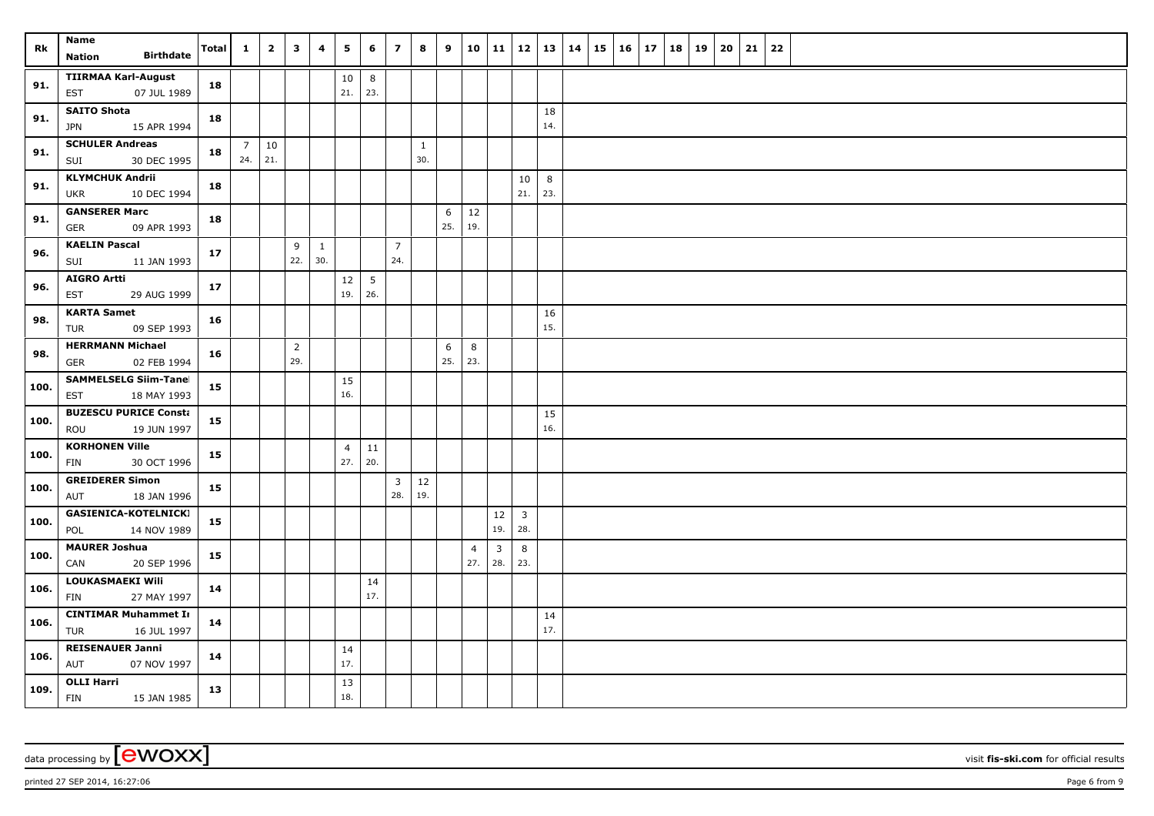| Rk   | Name<br><b>Birthdate</b><br>Nation                  | <b>Total</b> | $\mathbf{1}$ | $\overline{2}$         | $\mathbf{3}$          | 4                   | 5                     | 6                      | $\overline{z}$        | 8                   | 9        |           | 10 11     |                       | $12 \mid 13$ | 14 | 15 | $16 \mid 17$ | 18 | 19 | 20 | 21 | 22 |  |
|------|-----------------------------------------------------|--------------|--------------|------------------------|-----------------------|---------------------|-----------------------|------------------------|-----------------------|---------------------|----------|-----------|-----------|-----------------------|--------------|----|----|--------------|----|----|----|----|----|--|
| 91.  | <b>TIIRMAA Karl-August</b><br>07 JUL 1989<br>EST    | 18           |              |                        |                       |                     | 10<br>21.             | 8<br>23.               |                       |                     |          |           |           |                       |              |    |    |              |    |    |    |    |    |  |
| 91.  | <b>SAITO Shota</b><br><b>JPN</b><br>15 APR 1994     | 18           |              |                        |                       |                     |                       |                        |                       |                     |          |           |           |                       | 18<br>14.    |    |    |              |    |    |    |    |    |  |
| 91.  | <b>SCHULER Andreas</b><br>SUI<br>30 DEC 1995        | 18           | 24.          | $7 \mid 10$<br>  $21.$ |                       |                     |                       |                        |                       | $\mathbf{1}$<br>30. |          |           |           |                       |              |    |    |              |    |    |    |    |    |  |
| 91.  | <b>KLYMCHUK Andrii</b><br>10 DEC 1994<br><b>UKR</b> | 18           |              |                        |                       |                     |                       |                        |                       |                     |          |           |           | 10<br>21.             | 8<br>23.     |    |    |              |    |    |    |    |    |  |
| 91.  | <b>GANSERER Marc</b><br><b>GER</b><br>09 APR 1993   | 18           |              |                        |                       |                     |                       |                        |                       |                     | 6<br>25. | 12<br>19. |           |                       |              |    |    |              |    |    |    |    |    |  |
| 96.  | <b>KAELIN Pascal</b><br>11 JAN 1993<br>SUI          | 17           |              |                        | 9<br>22.              | $\mathbf{1}$<br>30. |                       |                        | $\overline{7}$<br>24. |                     |          |           |           |                       |              |    |    |              |    |    |    |    |    |  |
| 96.  | <b>AIGRO Artti</b><br>29 AUG 1999<br>EST            | 17           |              |                        |                       |                     | $12\,$<br>19.         | $5\phantom{.0}$<br>26. |                       |                     |          |           |           |                       |              |    |    |              |    |    |    |    |    |  |
| 98.  | <b>KARTA Samet</b><br>09 SEP 1993<br>TUR            | 16           |              |                        |                       |                     |                       |                        |                       |                     |          |           |           |                       | 16<br>15.    |    |    |              |    |    |    |    |    |  |
| 98.  | <b>HERRMANN Michael</b><br>GER<br>02 FEB 1994       | 16           |              |                        | $\overline{2}$<br>29. |                     |                       |                        |                       |                     | 6<br>25. | 8<br>23.  |           |                       |              |    |    |              |    |    |    |    |    |  |
| 100. | <b>SAMMELSELG Siim-Tanel</b><br>EST<br>18 MAY 1993  | 15           |              |                        |                       |                     | 15<br>16.             |                        |                       |                     |          |           |           |                       |              |    |    |              |    |    |    |    |    |  |
| 100. | <b>BUZESCU PURICE Consta</b><br>ROU<br>19 JUN 1997  | 15           |              |                        |                       |                     |                       |                        |                       |                     |          |           |           |                       | 15<br>16.    |    |    |              |    |    |    |    |    |  |
| 100. | <b>KORHONEN Ville</b><br>30 OCT 1996<br>FIN         | 15           |              |                        |                       |                     | $\overline{4}$<br>27. | 11<br>20.              |                       |                     |          |           |           |                       |              |    |    |              |    |    |    |    |    |  |
| 100. | <b>GREIDERER Simon</b><br>18 JAN 1996<br>AUT        | 15           |              |                        |                       |                     |                       |                        | $\mathbf{3}$<br>28.   | 12<br>19.           |          |           |           |                       |              |    |    |              |    |    |    |    |    |  |
| 100. | <b>GASIENICA-KOTELNICKI</b><br>POL<br>14 NOV 1989   | 15           |              |                        |                       |                     |                       |                        |                       |                     |          |           | 12<br>19. | $\overline{3}$<br>28. |              |    |    |              |    |    |    |    |    |  |
| 100. | <b>MAURER Joshua</b><br>CAN<br>20 SEP 1996          | 15           |              |                        |                       |                     |                       |                        |                       |                     |          | 4<br>27.  | 3<br>28.  | 8<br>23.              |              |    |    |              |    |    |    |    |    |  |
| 106. | LOUKASMAEKI Wili<br>FIN<br>27 MAY 1997              | 14           |              |                        |                       |                     |                       | 14<br>17.              |                       |                     |          |           |           |                       |              |    |    |              |    |    |    |    |    |  |
| 106. | <b>CINTIMAR Muhammet In</b><br>16 JUL 1997<br>TUR   | 14           |              |                        |                       |                     |                       |                        |                       |                     |          |           |           |                       | 14<br>17.    |    |    |              |    |    |    |    |    |  |
| 106. | <b>REISENAUER Janni</b><br>AUT<br>07 NOV 1997       | 14           |              |                        |                       |                     | 14<br>17.             |                        |                       |                     |          |           |           |                       |              |    |    |              |    |    |    |    |    |  |
| 109. | <b>OLLI Harri</b><br>15 JAN 1985<br>FIN             | 13           |              |                        |                       |                     | 13<br>18.             |                        |                       |                     |          |           |           |                       |              |    |    |              |    |    |    |    |    |  |

printed 27 SEP 2014, 16:27:06 **Page 6** from 9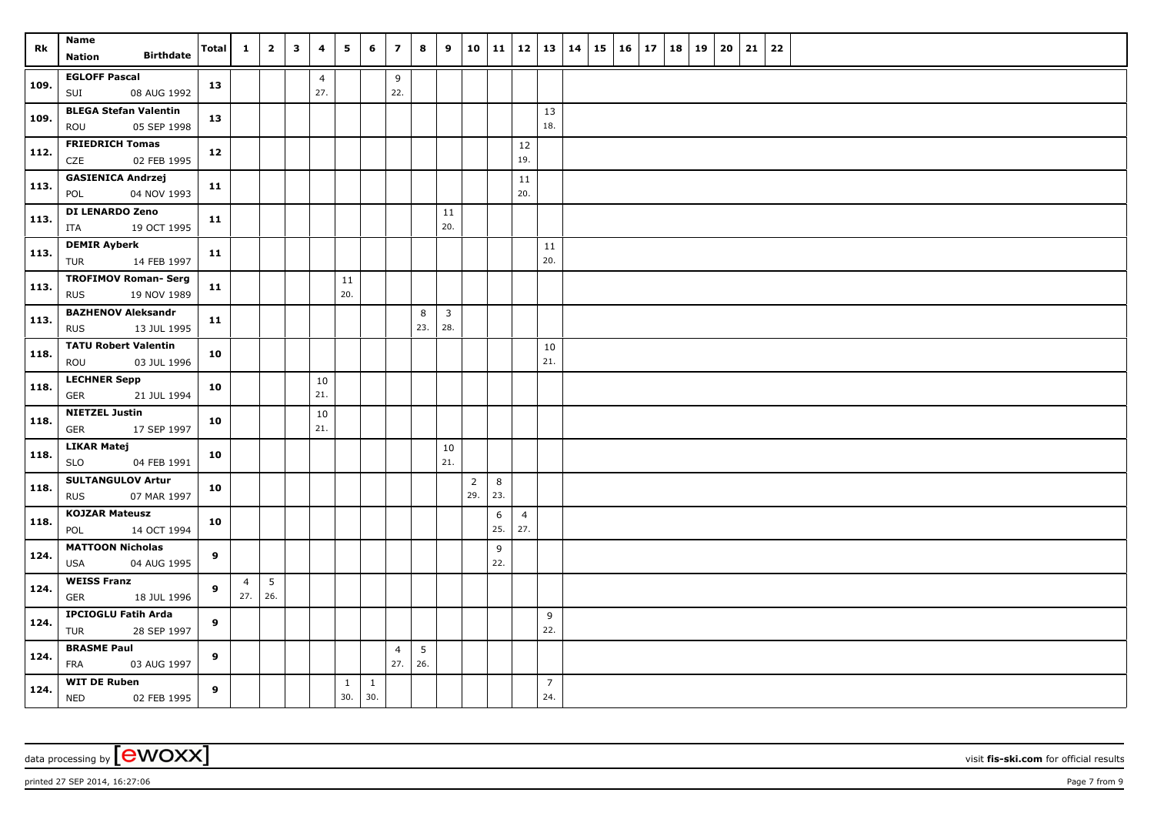| Rk   | <b>Name</b><br><b>Birthdate</b><br><b>Nation</b>         | <b>Total</b> | 1                           | $\overline{\mathbf{2}}$ | $\mathbf{3}$ | 4                     | 5                   | 6                   | $\overline{z}$        | 8        | 9                     | 10                    | 11             | 12                    | 13                    | 14 | 15 | <b>16</b> | 17 | 18 | 19 | 20 | 21 | 22 |  |
|------|----------------------------------------------------------|--------------|-----------------------------|-------------------------|--------------|-----------------------|---------------------|---------------------|-----------------------|----------|-----------------------|-----------------------|----------------|-----------------------|-----------------------|----|----|-----------|----|----|----|----|----|----|--|
| 109. | <b>EGLOFF Pascal</b><br>SUI<br>08 AUG 1992               | 13           |                             |                         |              | $\overline{4}$<br>27. |                     |                     | 9<br>22.              |          |                       |                       |                |                       |                       |    |    |           |    |    |    |    |    |    |  |
| 109. | <b>BLEGA Stefan Valentin</b><br>05 SEP 1998<br>ROU       | 13           |                             |                         |              |                       |                     |                     |                       |          |                       |                       |                |                       | 13<br>18.             |    |    |           |    |    |    |    |    |    |  |
| 112. | <b>FRIEDRICH Tomas</b><br>CZE<br>02 FEB 1995             | 12           |                             |                         |              |                       |                     |                     |                       |          |                       |                       |                | $12\,$<br>19.         |                       |    |    |           |    |    |    |    |    |    |  |
| 113. | <b>GASIENICA Andrzej</b><br>04 NOV 1993<br>POL           | 11           |                             |                         |              |                       |                     |                     |                       |          |                       |                       |                | 11<br>20.             |                       |    |    |           |    |    |    |    |    |    |  |
| 113. | DI LENARDO Zeno<br>ITA<br>19 OCT 1995                    | 11           |                             |                         |              |                       |                     |                     |                       |          | 11<br>20.             |                       |                |                       |                       |    |    |           |    |    |    |    |    |    |  |
| 113. | <b>DEMIR Ayberk</b><br>14 FEB 1997<br>TUR                | 11           |                             |                         |              |                       |                     |                     |                       |          |                       |                       |                |                       | 11<br>20.             |    |    |           |    |    |    |    |    |    |  |
| 113. | <b>TROFIMOV Roman- Serg</b><br><b>RUS</b><br>19 NOV 1989 | 11           |                             |                         |              |                       | 11<br>20.           |                     |                       |          |                       |                       |                |                       |                       |    |    |           |    |    |    |    |    |    |  |
| 113. | <b>BAZHENOV Aleksandr</b><br><b>RUS</b><br>13 JUL 1995   | 11           |                             |                         |              |                       |                     |                     |                       | 8<br>23. | $\overline{3}$<br>28. |                       |                |                       |                       |    |    |           |    |    |    |    |    |    |  |
| 118. | <b>TATU Robert Valentin</b><br>ROU<br>03 JUL 1996        | 10           |                             |                         |              |                       |                     |                     |                       |          |                       |                       |                |                       | 10<br>21.             |    |    |           |    |    |    |    |    |    |  |
| 118. | <b>LECHNER Sepp</b><br>GER<br>21 JUL 1994                | 10           |                             |                         |              | 10<br>21.             |                     |                     |                       |          |                       |                       |                |                       |                       |    |    |           |    |    |    |    |    |    |  |
| 118. | <b>NIETZEL Justin</b><br>GER<br>17 SEP 1997              | 10           |                             |                         |              | 10<br>21.             |                     |                     |                       |          |                       |                       |                |                       |                       |    |    |           |    |    |    |    |    |    |  |
| 118. | <b>LIKAR Matej</b><br><b>SLO</b><br>04 FEB 1991          | 10           |                             |                         |              |                       |                     |                     |                       |          | 10<br>21.             |                       |                |                       |                       |    |    |           |    |    |    |    |    |    |  |
| 118. | <b>SULTANGULOV Artur</b><br>07 MAR 1997<br><b>RUS</b>    | 10           |                             |                         |              |                       |                     |                     |                       |          |                       | $\overline{2}$<br>29. | $\,8\,$<br>23. |                       |                       |    |    |           |    |    |    |    |    |    |  |
| 118. | <b>KOJZAR Mateusz</b><br>POL<br>14 OCT 1994              | 10           |                             |                         |              |                       |                     |                     |                       |          |                       |                       | 6<br>25.       | $\overline{4}$<br>27. |                       |    |    |           |    |    |    |    |    |    |  |
| 124. | <b>MATTOON Nicholas</b><br>04 AUG 1995<br>USA            | 9            |                             |                         |              |                       |                     |                     |                       |          |                       |                       | 9<br>22.       |                       |                       |    |    |           |    |    |    |    |    |    |  |
| 124. | <b>WEISS Franz</b><br><b>GER</b><br>18 JUL 1996          | 9            | $\overline{4}$<br>$27.$ 26. | $5\phantom{.0}$         |              |                       |                     |                     |                       |          |                       |                       |                |                       |                       |    |    |           |    |    |    |    |    |    |  |
| 124. | <b>IPCIOGLU Fatih Arda</b><br>28 SEP 1997<br>TUR         | 9            |                             |                         |              |                       |                     |                     |                       |          |                       |                       |                |                       | 9<br>22.              |    |    |           |    |    |    |    |    |    |  |
| 124. | <b>BRASME Paul</b><br>FRA<br>03 AUG 1997                 | 9            |                             |                         |              |                       |                     |                     | $\overline{4}$<br>27. | 5<br>26. |                       |                       |                |                       |                       |    |    |           |    |    |    |    |    |    |  |
| 124. | <b>WIT DE Ruben</b><br><b>NED</b><br>02 FEB 1995         | 9            |                             |                         |              |                       | $\mathbf{1}$<br>30. | $\mathbf{1}$<br>30. |                       |          |                       |                       |                |                       | $\overline{7}$<br>24. |    |    |           |    |    |    |    |    |    |  |

printed 27 SEP 2014, 16:27:06 Page 7 from 9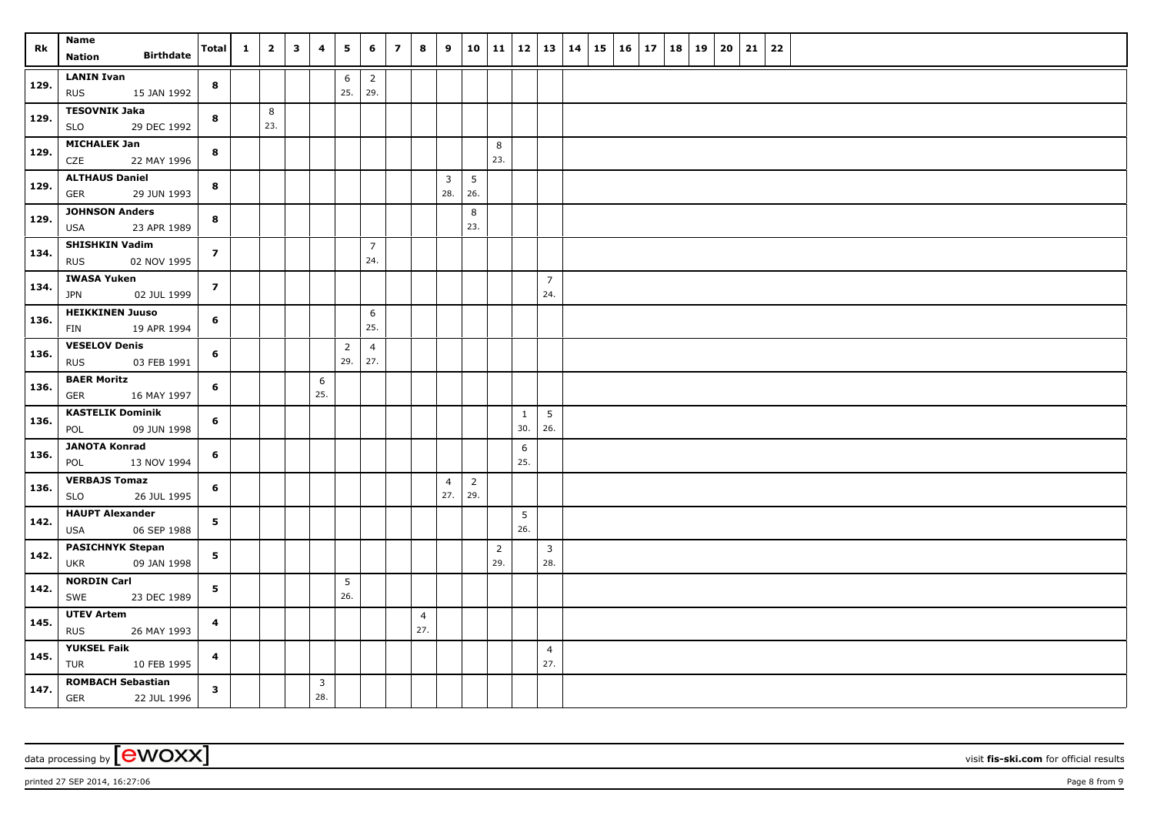| Rk   | Name<br><b>Birthdate</b><br><b>Nation</b>             | Total                   | $\mathbf{1}$ | $\overline{2}$ | $\overline{\mathbf{3}}$ | 4        | 5              | 6                     | $\overline{z}$ | 8              | 9              |                | 10   11        | 12   13   14        |                |  | $15 \mid 16 \mid 17$ |  | 18 19 | 20 | 21 | 22 |  |
|------|-------------------------------------------------------|-------------------------|--------------|----------------|-------------------------|----------|----------------|-----------------------|----------------|----------------|----------------|----------------|----------------|---------------------|----------------|--|----------------------|--|-------|----|----|----|--|
|      | <b>LANIN Ivan</b>                                     |                         |              |                |                         |          |                |                       |                |                |                |                |                |                     |                |  |                      |  |       |    |    |    |  |
| 129. | <b>RUS</b><br>15 JAN 1992                             | 8                       |              |                |                         |          | 6<br>25.       | $\overline{2}$<br>29. |                |                |                |                |                |                     |                |  |                      |  |       |    |    |    |  |
|      | <b>TESOVNIK Jaka</b>                                  |                         |              | 8              |                         |          |                |                       |                |                |                |                |                |                     |                |  |                      |  |       |    |    |    |  |
| 129. | <b>SLO</b><br>29 DEC 1992                             | 8                       |              | 23.            |                         |          |                |                       |                |                |                |                |                |                     |                |  |                      |  |       |    |    |    |  |
| 129. | <b>MICHALEK Jan</b><br>CZE<br>22 MAY 1996             | 8                       |              |                |                         |          |                |                       |                |                |                |                | 8<br>23.       |                     |                |  |                      |  |       |    |    |    |  |
|      | <b>ALTHAUS Daniel</b>                                 |                         |              |                |                         |          |                |                       |                |                | $\overline{3}$ | 5              |                |                     |                |  |                      |  |       |    |    |    |  |
| 129. | <b>GER</b><br>29 JUN 1993                             | 8                       |              |                |                         |          |                |                       |                |                | 28.            | 26.            |                |                     |                |  |                      |  |       |    |    |    |  |
| 129. | <b>JOHNSON Anders</b>                                 | 8                       |              |                |                         |          |                |                       |                |                |                | 8              |                |                     |                |  |                      |  |       |    |    |    |  |
|      | 23 APR 1989<br><b>USA</b>                             |                         |              |                |                         |          |                |                       |                |                |                | 23.            |                |                     |                |  |                      |  |       |    |    |    |  |
| 134. | <b>SHISHKIN Vadim</b><br><b>RUS</b><br>02 NOV 1995    | $\overline{z}$          |              |                |                         |          |                | $\overline{7}$<br>24. |                |                |                |                |                |                     |                |  |                      |  |       |    |    |    |  |
| 134. | <b>IWASA Yuken</b>                                    | $\overline{z}$          |              |                |                         |          |                |                       |                |                |                |                |                |                     | $\overline{7}$ |  |                      |  |       |    |    |    |  |
|      | 02 JUL 1999<br>JPN                                    |                         |              |                |                         |          |                |                       |                |                |                |                |                |                     | 24.            |  |                      |  |       |    |    |    |  |
| 136. | <b>HEIKKINEN Juuso</b>                                | 6                       |              |                |                         |          |                | 6                     |                |                |                |                |                |                     |                |  |                      |  |       |    |    |    |  |
|      | 19 APR 1994<br>FIN                                    |                         |              |                |                         |          |                | 25.                   |                |                |                |                |                |                     |                |  |                      |  |       |    |    |    |  |
| 136. | <b>VESELOV Denis</b>                                  | 6                       |              |                |                         |          | $\overline{2}$ | $\overline{4}$        |                |                |                |                |                |                     |                |  |                      |  |       |    |    |    |  |
|      | <b>RUS</b><br>03 FEB 1991                             |                         |              |                |                         |          | 29.            | 27.                   |                |                |                |                |                |                     |                |  |                      |  |       |    |    |    |  |
| 136. | <b>BAER Moritz</b>                                    | 6                       |              |                |                         | 6        |                |                       |                |                |                |                |                |                     |                |  |                      |  |       |    |    |    |  |
|      | <b>GER</b><br>16 MAY 1997                             |                         |              |                |                         | 25.      |                |                       |                |                |                |                |                |                     |                |  |                      |  |       |    |    |    |  |
| 136. | <b>KASTELIK Dominik</b><br>POL<br>09 JUN 1998         | 6                       |              |                |                         |          |                |                       |                |                |                |                |                | $\mathbf{1}$<br>30. | 5<br>26.       |  |                      |  |       |    |    |    |  |
|      | <b>JANOTA Konrad</b>                                  |                         |              |                |                         |          |                |                       |                |                |                |                |                | 6                   |                |  |                      |  |       |    |    |    |  |
| 136. | POL<br>13 NOV 1994                                    | 6                       |              |                |                         |          |                |                       |                |                |                |                |                | 25.                 |                |  |                      |  |       |    |    |    |  |
|      | <b>VERBAJS Tomaz</b>                                  |                         |              |                |                         |          |                |                       |                |                | $\overline{4}$ | $\overline{2}$ |                |                     |                |  |                      |  |       |    |    |    |  |
| 136. | <b>SLO</b><br>26 JUL 1995                             | 6                       |              |                |                         |          |                |                       |                |                | 27.            | 29.            |                |                     |                |  |                      |  |       |    |    |    |  |
| 142. | <b>HAUPT Alexander</b>                                | 5                       |              |                |                         |          |                |                       |                |                |                |                |                | $5\phantom{.0}$     |                |  |                      |  |       |    |    |    |  |
|      | 06 SEP 1988<br><b>USA</b>                             |                         |              |                |                         |          |                |                       |                |                |                |                |                | 26.                 |                |  |                      |  |       |    |    |    |  |
| 142. | <b>PASICHNYK Stepan</b>                               | 5                       |              |                |                         |          |                |                       |                |                |                |                | $\overline{2}$ |                     | $\overline{3}$ |  |                      |  |       |    |    |    |  |
|      | 09 JAN 1998<br>UKR                                    |                         |              |                |                         |          |                |                       |                |                |                |                | 29.            |                     | 28.            |  |                      |  |       |    |    |    |  |
| 142. | <b>NORDIN Carl</b><br>SWE<br>23 DEC 1989              | 5 <sub>1</sub>          |              |                |                         |          | 5<br>26.       |                       |                |                |                |                |                |                     |                |  |                      |  |       |    |    |    |  |
| 145. | <b>UTEV Artem</b>                                     |                         |              |                |                         |          |                |                       |                | $\overline{4}$ |                |                |                |                     |                |  |                      |  |       |    |    |    |  |
|      | <b>RUS</b><br>26 MAY 1993                             | 4                       |              |                |                         |          |                |                       |                | 27.            |                |                |                |                     |                |  |                      |  |       |    |    |    |  |
| 145. | <b>YUKSEL Faik</b>                                    | $\overline{\mathbf{4}}$ |              |                |                         |          |                |                       |                |                |                |                |                |                     | $\overline{4}$ |  |                      |  |       |    |    |    |  |
|      | TUR<br>10 FEB 1995                                    |                         |              |                |                         |          |                |                       |                |                |                |                |                |                     | 27.            |  |                      |  |       |    |    |    |  |
| 147. | <b>ROMBACH Sebastian</b><br><b>GER</b><br>22 JUL 1996 | $\mathbf{3}$            |              |                |                         | 3<br>28. |                |                       |                |                |                |                |                |                     |                |  |                      |  |       |    |    |    |  |

printed 27 SEP 2014, 16:27:06 Page 8 from 9